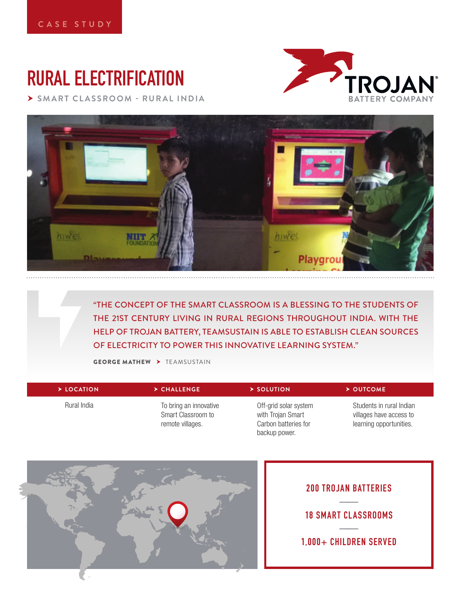# **RURAL ELECTRIFICATION**

 **SMART CLASSROOM - RURAL INDIA**





"THE CONCEPT OF THE SMART CLASSROOM IS A BLESSING TO THE STUDENTS OF THE 21ST CENTURY LIVING IN RURAL REGIONS THROUGHOUT INDIA. WITH THE HELP OF TROJAN BATTERY, TEAMSUSTAIN IS ABLE TO ESTABLISH CLEAN SOURCES OF ELECTRICITY TO POWER THIS INNOVATIVE LEARNING SYSTEM."

**GEORGE MATHEW > TEAMSUSTAIN** 

| > LOCATION  | $\triangleright$ CHALLENGE                                       | $\triangleright$ SOLUTION                                                           | $\triangleright$ OUTCOME                                                       |
|-------------|------------------------------------------------------------------|-------------------------------------------------------------------------------------|--------------------------------------------------------------------------------|
| Rural India | To bring an innovative<br>Smart Classroom to<br>remote villages. | Off-grid solar system<br>with Trojan Smart<br>Carbon batteries for<br>backup power. | Students in rural Indian<br>villages have access to<br>learning opportunities. |